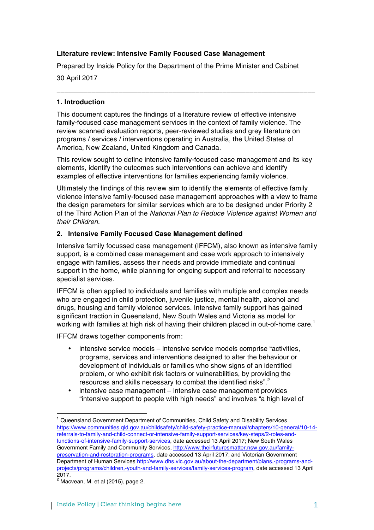# **Literature review: Intensive Family Focused Case Management**

Prepared by Inside Policy for the Department of the Prime Minister and Cabinet

**\_\_\_\_\_\_\_\_\_\_\_\_\_\_\_\_\_\_\_\_\_\_\_\_\_\_\_\_\_\_\_\_\_\_\_\_\_\_\_\_\_\_\_\_\_\_\_\_\_\_\_\_\_\_\_\_\_\_\_\_\_\_\_\_\_\_\_**

30 April 2017

# **1. Introduction**

This document captures the findings of a literature review of effective intensive family-focused case management services in the context of family violence. The review scanned evaluation reports, peer-reviewed studies and grey literature on programs / services / interventions operating in Australia, the United States of America, New Zealand, United Kingdom and Canada.

This review sought to define intensive family-focused case management and its key elements, identify the outcomes such interventions can achieve and identify examples of effective interventions for families experiencing family violence.

Ultimately the findings of this review aim to identify the elements of effective family violence intensive family-focused case management approaches with a view to frame the design parameters for similar services which are to be designed under Priority 2 of the Third Action Plan of the *National Plan to Reduce Violence against Women and their Children.*

# **2. Intensive Family Focused Case Management defined**

Intensive family focussed case management (IFFCM), also known as intensive family support, is a combined case management and case work approach to intensively engage with families, assess their needs and provide immediate and continual support in the home, while planning for ongoing support and referral to necessary specialist services.

IFFCM is often applied to individuals and families with multiple and complex needs who are engaged in child protection, juvenile justice, mental health, alcohol and drugs, housing and family violence services. Intensive family support has gained significant traction in Queensland, New South Wales and Victoria as model for working with families at high risk of having their children placed in out-of-home care.<sup>1</sup>

IFFCM draws together components from:

- intensive service models intensive service models comprise "activities, programs, services and interventions designed to alter the behaviour or development of individuals or families who show signs of an identified problem, or who exhibit risk factors or vulnerabilities, by providing the resources and skills necessary to combat the identified risks".<sup>2</sup>
- intensive case management intensive case management provides "intensive support to people with high needs" and involves "a high level of

 <sup>1</sup> Queensland Government Department of Communities, Child Safety and Disability Services https://www.communities.qld.gov.au/childsafety/child-safety-practice-manual/chapters/10-general/10-14 referrals-to-family-and-child-connect-or-intensive-family-support-services/key-steps/2-roles-andfunctions-of-intensive-family-support-services, date accessed 13 April 2017; New South Wales Government Family and Community Services, http://www.theirfuturesmatter.nsw.gov.au/familypreservation-and-restoration-programs, date accessed 13 April 2017; and Victorian Government Department of Human Services http://www.dhs.vic.gov.au/about-the-department/plans,-programs-andprojects/programs/children,-youth-and-family-services/family-services-program, date accessed 13 April 2017.

 $<sup>2</sup>$  Macvean, M. et al (2015), page 2.</sup>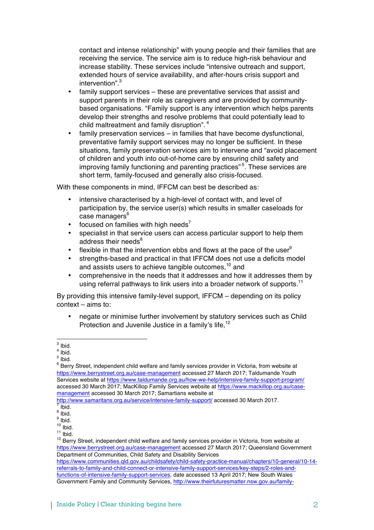contact and intense relationship" with young people and their families that are receiving the service. The service aim is to reduce high-risk behaviour and increase stability. These services include "intensive outreach and support, extended hours of service availability, and after-hours crisis support and intervention". 3

- family support services these are preventative services that assist and support parents in their role as caregivers and are provided by communitybased organisations. "Family support is any intervention which helps parents develop their strengths and resolve problems that could potentially lead to child maltreatment and family disruption". <sup>4</sup>
- family preservation services in families that have become dysfunctional, preventative family support services may no longer be sufficient. In these situations, family preservation services aim to intervene and "avoid placement of children and youth into out-of-home care by ensuring child safety and improving family functioning and parenting practices"<sup>5</sup>. These services are short term, family-focused and generally also crisis-focused.

With these components in mind, IFFCM can best be described as:

- intensive characterised by a high-level of contact with, and level of participation by, the service user(s) which results in smaller caseloads for  $case$  managers $6$
- focused on families with high needs<sup>7</sup>
- specialist in that service users can access particular support to help them address their needs<sup>8</sup>
- flexible in that the intervention ebbs and flows at the pace of the user $<sup>9</sup>$ </sup>
- strengths-based and practical in that IFFCM does not use a deficits model and assists users to achieve tangible outcomes.<sup>10</sup> and
- comprehensive in the needs that it addresses and how it addresses them by using referral pathways to link users into a broader network of supports.<sup>11</sup>

By providing this intensive family-level support, IFFCM – depending on its policy context – aims to:

• negate or minimise further involvement by statutory services such as Child Protection and Juvenile Justice in a family's life.<sup>12</sup>

  $3$  Ibid.

 $4$  Ibid.

 $<sup>5</sup>$  Ibid.</sup>

 $6$  Berry Street, independent child welfare and family services provider in Victoria, from website at https://www.berrystreet.org.au/case-management accessed 27 March 2017; Taldumande Youth Services website at https://www.taldumande.org.au/how-we-help/intensive-family-support-program/ accessed 30 March 2017; MacKillop Family Services website at https://www.mackillop.org.au/casemanagement accessed 30 March 2017; Samartians website at

http://www.samaritans.org.au/service/intensive-family-support/ accessed 30 March 2017.

 $8$  Ibid.

 $\frac{9}{10}$  Ibid.

<sup>11</sup> Ibid.<br><sup>11</sup> Ibid.<br><sup>12</sup> Berry Street, independent child welfare and family services provider in Victoria, from website at https://www.berrystreet.org.au/case-management accessed 27 March 2017; Queensland Government Department of Communities, Child Safety and Disability Services

https://www.communities.qld.gov.au/childsafety/child-safety-practice-manual/chapters/10-general/10-14 referrals-to-family-and-child-connect-or-intensive-family-support-services/key-steps/2-roles-andfunctions-of-intensive-family-support-services, date accessed 13 April 2017; New South Wales Government Family and Community Services, http://www.theirfuturesmatter.nsw.gov.au/family-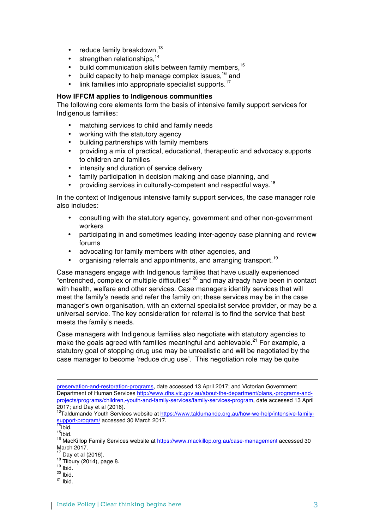- $\bullet$  reduce family breakdown,<sup>13</sup>
- $\bullet$  strengthen relationships.<sup>14</sup>
- build communication skills between family members,<sup>15</sup>
- build capacity to help manage complex issues,<sup>16</sup> and
- link families into appropriate specialist supports.<sup>17</sup>

#### **How IFFCM applies to Indigenous communities**

The following core elements form the basis of intensive family support services for Indigenous families:

- matching services to child and family needs
- working with the statutory agency
- building partnerships with family members
- providing a mix of practical, educational, therapeutic and advocacy supports to children and families
- intensity and duration of service delivery
- family participation in decision making and case planning, and
- providing services in culturally-competent and respectful wavs.<sup>18</sup>

In the context of Indigenous intensive family support services, the case manager role also includes:

- consulting with the statutory agency, government and other non-government workers
- participating in and sometimes leading inter-agency case planning and review forums
- advocating for family members with other agencies, and
- organising referrals and appointments, and arranging transport.<sup>19</sup>

Case managers engage with Indigenous families that have usually experienced "entrenched, complex or multiple difficulties" <sup>20</sup> and may already have been in contact with health, welfare and other services. Case managers identify services that will meet the family's needs and refer the family on; these services may be in the case manager's own organisation, with an external specialist service provider, or may be a universal service. The key consideration for referral is to find the service that best meets the family's needs.

Case managers with Indigenous families also negotiate with statutory agencies to make the goals agreed with families meaningful and achievable.<sup>21</sup> For example, a statutory goal of stopping drug use may be unrealistic and will be negotiated by the case manager to become 'reduce drug use'. This negotiation role may be quite

<u> Alexandro de la contrada de la contrada de la contrada de la contrada de la contrada de la contrada de la co</u>

preservation-and-restoration-programs, date accessed 13 April 2017; and Victorian Government Department of Human Services http://www.dhs.vic.gov.au/about-the-department/plans,-programs-andprojects/programs/children,-youth-and-family-services/family-services-program, date accessed 13 April 2017; and Day et al (2016).

<sup>13</sup>Taldumande Youth Services website at https://www.taldumande.org.au/how-we-help/intensive-family-<br>support-program/ accessed 30 March 2017.<br><sup>14</sup>lbid.

المادة.<br><sup>15</sup>Ibid.<br><sup>16</sup> MacKillop Family Services website at <u>https://www.mackillop.org.au/case-management</u> accessed 30 March 2017.<br><sup>17</sup> Day et al (2016).

<sup>&</sup>lt;sup>18</sup> Tilbury (2014), page 8.<br><sup>19</sup> Ibid.<br><sup>20</sup> Ibid. <sup>21</sup> Ibid.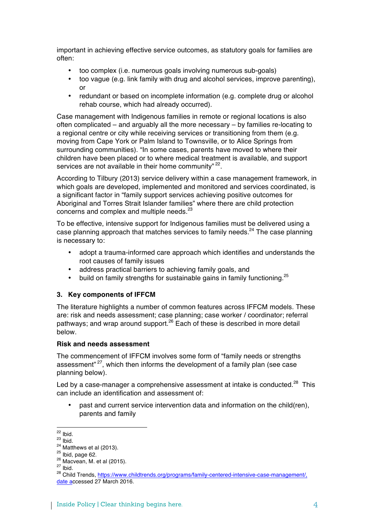important in achieving effective service outcomes, as statutory goals for families are often:

- too complex (i.e. numerous goals involving numerous sub-goals)
- too vague (e.g. link family with drug and alcohol services, improve parenting),  $\alpha$ r
- redundant or based on incomplete information (e.g. complete drug or alcohol rehab course, which had already occurred).

Case management with Indigenous families in remote or regional locations is also often complicated – and arguably all the more necessary – by families re-locating to a regional centre or city while receiving services or transitioning from them (e.g. moving from Cape York or Palm Island to Townsville, or to Alice Springs from surrounding communities). "In some cases, parents have moved to where their children have been placed or to where medical treatment is available, and support services are not available in their home community"<sup>22</sup>.

According to Tilbury (2013) service delivery within a case management framework, in which goals are developed, implemented and monitored and services coordinated, is a significant factor in "family support services achieving positive outcomes for Aboriginal and Torres Strait Islander families" where there are child protection concerns and complex and multiple needs.<sup>23</sup>

To be effective, intensive support for Indigenous families must be delivered using a case planning approach that matches services to family needs.<sup>24</sup> The case planning is necessary to:

- adopt a trauma-informed care approach which identifies and understands the root causes of family issues
- address practical barriers to achieving family goals, and
- build on family strengths for sustainable gains in family functioning. $^{25}$

#### **3. Key components of IFFCM**

The literature highlights a number of common features across IFFCM models. These are: risk and needs assessment; case planning; case worker / coordinator; referral pathways; and wrap around support.<sup>26</sup> Each of these is described in more detail below.

# **Risk and needs assessment**

The commencement of IFFCM involves some form of "family needs or strengths assessment"<sup>27</sup>, which then informs the development of a family plan (see case planning below).

Led by a case-manager a comprehensive assessment at intake is conducted.<sup>28</sup> This can include an identification and assessment of:

• past and current service intervention data and information on the child(ren), parents and family

<sup>&</sup>lt;sup>22</sup> Ibid.<br><sup>23</sup> Ibid.<br><sup>25</sup> Ibid, page 62.<br><sup>25</sup> Macvean, M. et al (2015).<br><sup>27</sup> Ibid.<br><sup>28</sup> Child Trends, https://www.childtrends.o<u>rg/programs/family-centered-intensive-case-management/,</u> date accessed 27 March 2016.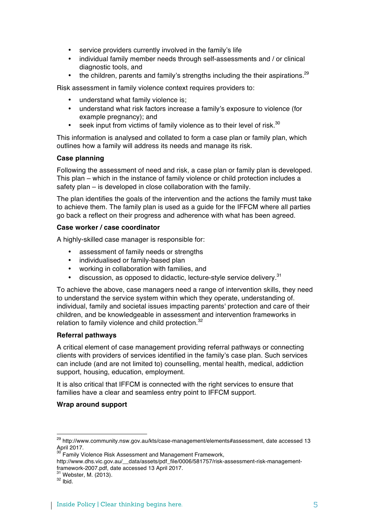- service providers currently involved in the family's life
- individual family member needs through self-assessments and / or clinical diagnostic tools, and
- the children, parents and family's strengths including the their aspirations. $29$

Risk assessment in family violence context requires providers to:

- understand what family violence is;
- understand what risk factors increase a family's exposure to violence (for example pregnancy); and
- seek input from victims of family violence as to their level of risk.<sup>30</sup>

This information is analysed and collated to form a case plan or family plan, which outlines how a family will address its needs and manage its risk.

### **Case planning**

Following the assessment of need and risk, a case plan or family plan is developed. This plan – which in the instance of family violence or child protection includes a safety plan – is developed in close collaboration with the family.

The plan identifies the goals of the intervention and the actions the family must take to achieve them. The family plan is used as a guide for the IFFCM where all parties go back a reflect on their progress and adherence with what has been agreed.

### **Case worker / case coordinator**

A highly-skilled case manager is responsible for:

- assessment of family needs or strengths
- individualised or family-based plan
- working in collaboration with families, and
- discussion, as opposed to didactic, lecture-style service delivery.<sup>31</sup>

To achieve the above, case managers need a range of intervention skills, they need to understand the service system within which they operate, understanding of. individual, family and societal issues impacting parents' protection and care of their children, and be knowledgeable in assessment and intervention frameworks in relation to family violence and child protection.<sup>32</sup>

#### **Referral pathways**

A critical element of case management providing referral pathways or connecting clients with providers of services identified in the family's case plan. Such services can include (and are not limited to) counselling, mental health, medical, addiction support, housing, education, employment.

It is also critical that IFFCM is connected with the right services to ensure that families have a clear and seamless entry point to IFFCM support.

# **Wrap around support**

<sup>&</sup>lt;sup>29</sup> http://www.community.nsw.gov.au/kts/case-management/elements#assessment, date accessed 13 April 2017.

<sup>&</sup>lt;sup>30</sup> Family Violence Risk Assessment and Management Framework,

http://www.dhs.vic.gov.au/\_\_data/assets/pdf\_file/0006/581757/risk-assessment-risk-managementframework-2007.pdf, date accessed 13 April 2017.<br> $^{31}$  Webster, M. (2013).<br> $^{32}$  Ibid.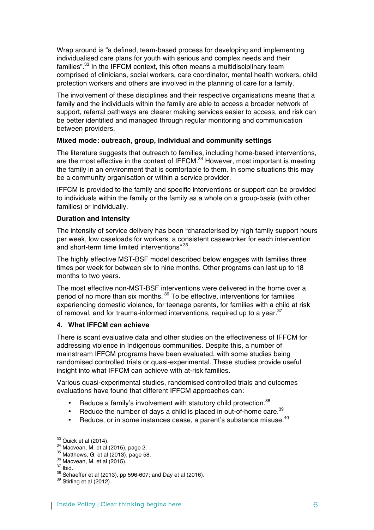Wrap around is "a defined, team-based process for developing and implementing individualised care plans for youth with serious and complex needs and their families".<sup>33</sup> In the IFFCM context, this often means a multidisciplinary team comprised of clinicians, social workers, care coordinator, mental health workers, child protection workers and others are involved in the planning of care for a family.

The involvement of these disciplines and their respective organisations means that a family and the individuals within the family are able to access a broader network of support, referral pathways are clearer making services easier to access, and risk can be better identified and managed through regular monitoring and communication between providers.

### **Mixed mode: outreach, group, individual and community settings**

The literature suggests that outreach to families, including home-based interventions, are the most effective in the context of IFFCM.<sup>34</sup> However, most important is meeting the family in an environment that is comfortable to them. In some situations this may be a community organisation or within a service provider.

IFFCM is provided to the family and specific interventions or support can be provided to individuals within the family or the family as a whole on a group-basis (with other families) or individually.

### **Duration and intensity**

The intensity of service delivery has been "characterised by high family support hours per week, low caseloads for workers, a consistent caseworker for each intervention and short-term time limited interventions" 35.

The highly effective MST-BSF model described below engages with families three times per week for between six to nine months. Other programs can last up to 18 months to two years.

The most effective non-MST-BSF interventions were delivered in the home over a period of no more than six months. <sup>36</sup> To be effective, interventions for families experiencing domestic violence, for teenage parents, for families with a child at risk of removal, and for trauma-informed interventions, required up to a year.<sup>37</sup>

# **4. What IFFCM can achieve**

There is scant evaluative data and other studies on the effectiveness of IFFCM for addressing violence in Indigenous communities. Despite this, a number of mainstream IFFCM programs have been evaluated, with some studies being randomised controlled trials or quasi-experimental. These studies provide useful insight into what IFFCM can achieve with at-risk families.

Various quasi-experimental studies, randomised controlled trials and outcomes evaluations have found that different IFFCM approaches can:

- Reduce a family's involvement with statutory child protection.<sup>38</sup>
- Reduce the number of days a child is placed in out-of-home care.<sup>39</sup>
- Reduce, or in some instances cease, a parent's substance misuse.<sup>40</sup>

<sup>&</sup>lt;sup>33</sup> Quick et al (2014).<br><sup>34</sup> Macvean, M. et al (2015), page 2.<br><sup>35</sup> Matthews, G. et al (2013), page 58.<br><sup>36</sup> Macvean, M. et al (2015).<br><sup>37</sup> Ibid. <sup>38</sup> Schaeffer et al (2013), pp 596-607; and Day et al (2016).<br><sup>39</sup> Stirli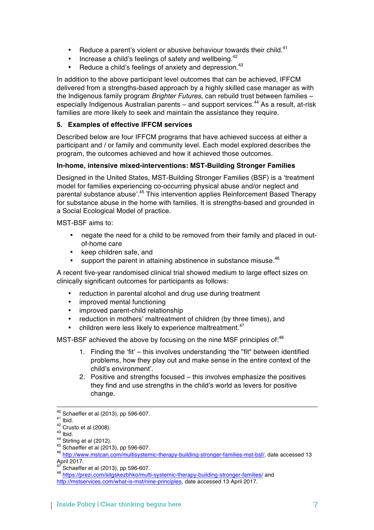- Reduce a parent's violent or abusive behaviour towards their child.<sup>41</sup>
- Increase a child's feelings of safety and wellbeing.<sup>42</sup>
- Reduce a child's feelings of anxiety and depression.<sup>43</sup>

In addition to the above participant level outcomes that can be achieved, IFFCM delivered from a strengths-based approach by a highly skilled case manager as with the Indigenous family program *Brighter Futures*, can rebuild trust between families – especially Indigenous Australian parents – and support services.<sup>44</sup> As a result, at-risk families are more likely to seek and maintain the assistance they require.

# **5. Examples of effective IFFCM services**

Described below are four IFFCM programs that have achieved success at either a participant and / or family and community level. Each model explored describes the program, the outcomes achieved and how it achieved those outcomes.

# **In-home, intensive mixed-interventions: MST-Building Stronger Families**

Designed in the United States, MST-Building Stronger Families (BSF) is a 'treatment model for families experiencing co-occurring physical abuse and/or neglect and parental substance abuse'.<sup>45</sup> This intervention applies Reinforcement Based Therapy for substance abuse in the home with families. It is strengths-based and grounded in a Social Ecological Model of practice.

MST-BSF aims to:

- negate the need for a child to be removed from their family and placed in outof-home care
- keep children safe, and
- support the parent in attaining abstinence in substance misuse.<sup>46</sup>

A recent five-year randomised clinical trial showed medium to large effect sizes on clinically significant outcomes for participants as follows:

- reduction in parental alcohol and drug use during treatment
- improved mental functioning
- improved parent-child relationship
- reduction in mothers' maltreatment of children (by three times), and
- children were less likely to experience maltreatment.<sup>47</sup>

MST-BSF achieved the above by focusing on the nine MSF principles of:<sup>48</sup>

- 1. Finding the 'fit' this involves understanding 'the "fit" between identified problems, how they play out and make sense in the entire context of the child's environment'.
- 2. Positive and strengths focused this involves emphasize the positives they find and use strengths in the child's world as levers for positive change.

<u> 2002 - Andrea San Andrew Maria (h. 1888).</u><br>2003 - Andrew Maria (h. 1882).

<sup>&</sup>lt;sup>40</sup> Schaeffer et al (2013), pp 596-607.<br>
<sup>41</sup> Ibid.<br>
<sup>42</sup> Crusto et al (2008).<br>
<sup>43</sup> Ibid.<br>
<sup>43</sup> Schaeffer et al (2012).<br>
<sup>45</sup> Schaeffer et al (2013), pp 596-607.<br>
<sup>46</sup> http://www.mstcan.com/multisystemic-therapy-buildin April 2017.<br><sup>47</sup> Schaeffer et al (2013), pp 596-607.

<sup>48</sup> https://prezi.com/sitgskezbhko/multi-systemic-therapy-building-stronger-families/ and http://mstservices.com/what-is-mst/nine-principles, date accessed 13 April 2017.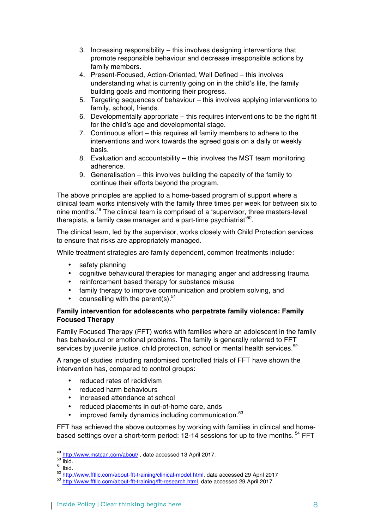- 3. Increasing responsibility this involves designing interventions that promote responsible behaviour and decrease irresponsible actions by family members.
- 4. Present-Focused, Action-Oriented, Well Defined this involves understanding what is currently going on in the child's life, the family building goals and monitoring their progress.
- 5. Targeting sequences of behaviour this involves applying interventions to family, school, friends.
- 6. Developmentally appropriate this requires interventions to be the right fit for the child's age and developmental stage.
- 7. Continuous effort this requires all family members to adhere to the interventions and work towards the agreed goals on a daily or weekly basis.
- 8. Evaluation and accountability this involves the MST team monitoring adherence.
- 9. Generalisation this involves building the capacity of the family to continue their efforts beyond the program.

The above principles are applied to a home-based program of support where a clinical team works intensively with the family three times per week for between six to nine months.49 The clinical team is comprised of a 'supervisor, three masters-level therapists, a family case manager and a part-time psychiatrist<sup> $50$ </sup>.

The clinical team, led by the supervisor, works closely with Child Protection services to ensure that risks are appropriately managed.

While treatment strategies are family dependent, common treatments include:

- safety planning
- cognitive behavioural therapies for managing anger and addressing trauma
- reinforcement based therapy for substance misuse
- family therapy to improve communication and problem solving, and
- counselling with the parent(s). $51$

# **Family intervention for adolescents who perpetrate family violence: Family Focused Therapy**

Family Focused Therapy (FFT) works with families where an adolescent in the family has behavioural or emotional problems. The family is generally referred to FFT services by juvenile justice, child protection, school or mental health services.<sup>52</sup>

A range of studies including randomised controlled trials of FFT have shown the intervention has, compared to control groups:

- reduced rates of recidivism
- reduced harm behaviours
- increased attendance at school
- reduced placements in out-of-home care, ands
- improved family dynamics including communication.<sup>53</sup>

FFT has achieved the above outcomes by working with families in clinical and homebased settings over a short-term period: 12-14 sessions for up to five months. <sup>54</sup> FFT

 $\frac{\frac{49}{50} \frac{\text{http://www.mstcan.com/about/}}{\text{libid}}}{\text{libid}}$ , date accessed 13 April 2017.<br>  $\frac{51 \text{ libid}}{\text{libid}}$ .<br>  $\frac{52 \text{ http://www.ftllc.com/about-fft-training/clinical-model.html}}{\text{http://www.ftllc.com/about-fft-training/clinical-model.html}},$  date accessed 29 April 2017<br>  $\frac{53 \text{ http://www.ftllc.com/about-fft-training/clinical-model.html}}{\text{http://www.ftllc.com/about-f$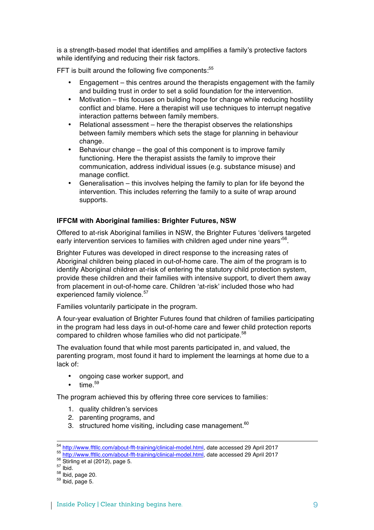is a strength-based model that identifies and amplifies a family's protective factors while identifying and reducing their risk factors.

FFT is built around the following five components:<sup>55</sup>

- Engagement this centres around the therapists engagement with the family and building trust in order to set a solid foundation for the intervention.
- Motivation this focuses on building hope for change while reducing hostility conflict and blame. Here a therapist will use techniques to interrupt negative interaction patterns between family members.
- Relational assessment here the therapist observes the relationships between family members which sets the stage for planning in behaviour change.
- Behaviour change the goal of this component is to improve family functioning. Here the therapist assists the family to improve their communication, address individual issues (e.g. substance misuse) and manage conflict.
- Generalisation this involves helping the family to plan for life beyond the intervention. This includes referring the family to a suite of wrap around supports.

# **IFFCM with Aboriginal families: Brighter Futures, NSW**

Offered to at-risk Aboriginal families in NSW, the Brighter Futures 'delivers targeted early intervention services to families with children aged under nine years<sup>56</sup>.

Brighter Futures was developed in direct response to the increasing rates of Aboriginal children being placed in out-of-home care. The aim of the program is to identify Aboriginal children at-risk of entering the statutory child protection system, provide these children and their families with intensive support, to divert them away from placement in out-of-home care. Children 'at-risk' included those who had experienced family violence.<sup>57</sup>

Families voluntarily participate in the program.

A four-year evaluation of Brighter Futures found that children of families participating in the program had less days in out-of-home care and fewer child protection reports compared to children whose families who did not participate.<sup>58</sup>

The evaluation found that while most parents participated in, and valued, the parenting program, most found it hard to implement the learnings at home due to a lack of:

- ongoing case worker support, and
- $time.<sup>59</sup>$

The program achieved this by offering three core services to families:

- 1. quality children's services
- 2. parenting programs, and
- 3. structured home visiting, including case management. $60$

 $^{54}$  http://www.fftllc.com/about-fft-training/clinical-model.html, date accessed 29 April 2017<br>  $^{55}$  http://www.fftllc.com/about-fft-training/clinical-model.html, date accessed 29 April 2017<br>  $^{56}$  Si triling et al (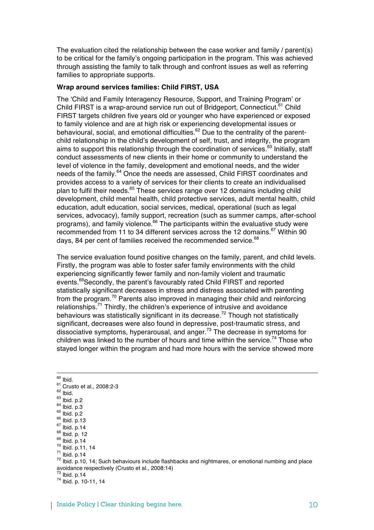The evaluation cited the relationship between the case worker and family / parent(s) to be critical for the family's ongoing participation in the program. This was achieved through assisting the family to talk through and confront issues as well as referring families to appropriate supports.

# **Wrap around services families: Child FIRST, USA**

The 'Child and Family Interagency Resource, Support, and Training Program' or Child FIRST is a wrap-around service run out of Bridgeport, Connecticut.<sup>61</sup> Child FIRST targets children five years old or younger who have experienced or exposed to family violence and are at high risk or experiencing developmental issues or behavioural, social, and emotional difficulties.<sup>62</sup> Due to the centrality of the parentchild relationship in the child's development of self, trust, and integrity, the program aims to support this relationship through the coordination of services.<sup>63</sup> Initially, staff conduct assessments of new clients in their home or community to understand the level of violence in the family, development and emotional needs, and the wider needs of the family.<sup>64</sup> Once the needs are assessed, Child FIRST coordinates and provides access to a variety of services for their clients to create an individualised plan to fulfil their needs. $65$  These services range over 12 domains including child development, child mental health, child protective services, adult mental health, child education, adult education, social services, medical, operational (such as legal services, advocacy), family support, recreation (such as summer camps, after-school programs), and family violence. $66$  The participants within the evaluative study were recommended from 11 to 34 different services across the 12 domains.<sup>67</sup> Within 90 days, 84 per cent of families received the recommended service.<sup>68</sup>

The service evaluation found positive changes on the family, parent, and child levels. Firstly, the program was able to foster safer family environments with the child experiencing significantly fewer family and non-family violent and traumatic events.<sup>69</sup>Secondly, the parent's favourably rated Child FIRST and reported statistically significant decreases in stress and distress associated with parenting from the program.<sup>70</sup> Parents also improved in managing their child and reinforcing relationships.<sup>71</sup> Thirdly, the children's experience of intrusive and avoidance behaviours was statistically significant in its decrease.<sup>72</sup> Though not statistically significant, decreases were also found in depressive, post-traumatic stress, and dissociative symptoms, hyperarousal, and anger.73 The decrease in symptoms for children was linked to the number of hours and time within the service.<sup>74</sup> Those who stayed longer within the program and had more hours with the service showed more

<u> 2002 - Andrea San Andrew Maria (h. 1888).</u><br>2003 - Andrew Maria (h. 1882). <sup>60</sup> Ibid.<br><sup>62</sup> Crusto et al., 2008:2-3<br><sup>62</sup> Ibid.<br><sup>63</sup> Ibid. p.2<br><sup>64</sup> Ibid. p.2<br><sup>66</sup> Ibid. p.13<br><sup>67</sup> Ibid. p.14<br><sup>69</sup> Ibid. p.14<br><sup>70</sup> Ibid. p.14<br><sup>70</sup> Ibid. p.14<br><sup>72</sup> Ibid. p.14<br><sup>72</sup> Ibid. p.14 <sup>72</sup> Ibid. p.10, 14; Such behaviours include flashbacks and nightmares, or emotional numbing and place avoidance respectively (Crusto et al., 2008:14)<br><sup>73</sup> Ibid. p.14 <sup>73</sup> Ibid. p.14 <sup>74</sup> Ibid. p. 10-11, 14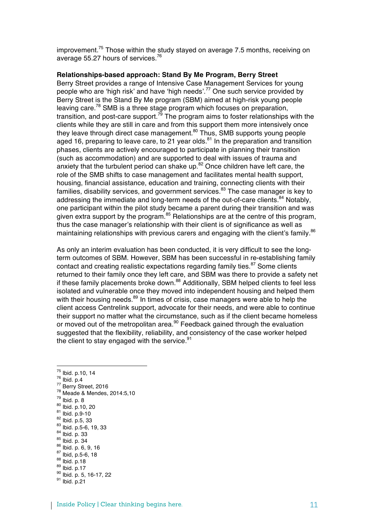improvement.<sup>75</sup> Those within the study stayed on average 7.5 months, receiving on average 55.27 hours of services.<sup>76</sup>

### **Relationships-based approach: Stand By Me Program, Berry Street**

Berry Street provides a range of Intensive Case Management Services for young people who are 'high risk' and have 'high needs'.<sup>77</sup> One such service provided by Berry Street is the Stand By Me program (SBM) aimed at high-risk young people leaving care.<sup>78</sup> SMB is a three stage program which focuses on preparation, transition, and post-care support.<sup>79</sup> The program aims to foster relationships with the clients while they are still in care and from this support them more intensively once they leave through direct case management.<sup>80</sup> Thus, SMB supports young people aged 16, preparing to leave care, to 21 year olds.<sup>81</sup> In the preparation and transition phases, clients are actively encouraged to participate in planning their transition (such as accommodation) and are supported to deal with issues of trauma and anxiety that the turbulent period can shake up. $82$  Once children have left care, the role of the SMB shifts to case management and facilitates mental health support, housing, financial assistance, education and training, connecting clients with their families, disability services, and government services.<sup>83</sup> The case manager is key to addressing the immediate and long-term needs of the out-of-care clients.<sup>84</sup> Notably, one participant within the pilot study became a parent during their transition and was given extra support by the program. $85$  Relationships are at the centre of this program, thus the case manager's relationship with their client is of significance as well as maintaining relationships with previous carers and engaging with the client's family. $86$ 

As only an interim evaluation has been conducted, it is very difficult to see the longterm outcomes of SBM. However, SBM has been successful in re-establishing family contact and creating realistic expectations regarding family ties.<sup>87</sup> Some clients returned to their family once they left care, and SBM was there to provide a safety net if these family placements broke down.<sup>88</sup> Additionally, SBM helped clients to feel less isolated and vulnerable once they moved into independent housing and helped them with their housing needs.<sup>89</sup> In times of crisis, case managers were able to help the client access Centrelink support, advocate for their needs, and were able to continue their support no matter what the circumstance, such as if the client became homeless or moved out of the metropolitan area.<sup>90</sup> Feedback gained through the evaluation suggested that the flexibility, reliability, and consistency of the case worker helped the client to stay engaged with the service. $91$ 

- <sup>75</sup> Ibid. p.10, 14
- 
- 
- <sup>75</sup> Ibid. p.10, 14<br>
<sup>76</sup> Ibid. p.4<br>
<sup>77</sup> Berry Street, 2016<br>
<sup>78</sup> Meade & Mendes, 2014:5,10<br>
<sup>79</sup> Ibid. p. 8<br>
<sup>80</sup> Ibid. p.10, 20<br>
<sup>81</sup> Ibid. p.9-10<br>
<sup>82</sup> Ibid. p.5-6, 19, 33<br>
<sup>83</sup> Ibid. p. 5-6, 19, 33<br>
<sup>84</sup> Ibid. p. 34<br>
- 
- 
- 
- 
- 
- 
- 
- 
- 
- 
-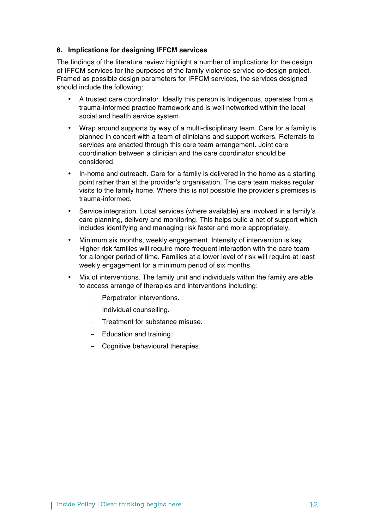# **6. Implications for designing IFFCM services**

The findings of the literature review highlight a number of implications for the design of IFFCM services for the purposes of the family violence service co-design project. Framed as possible design parameters for IFFCM services, the services designed should include the following:

- A trusted care coordinator. Ideally this person is Indigenous, operates from a trauma-informed practice framework and is well networked within the local social and health service system.
- Wrap around supports by way of a multi-disciplinary team. Care for a family is planned in concert with a team of clinicians and support workers. Referrals to services are enacted through this care team arrangement. Joint care coordination between a clinician and the care coordinator should be considered.
- In-home and outreach. Care for a family is delivered in the home as a starting point rather than at the provider's organisation. The care team makes regular visits to the family home. Where this is not possible the provider's premises is trauma-informed.
- Service integration. Local services (where available) are involved in a family's care planning, delivery and monitoring. This helps build a net of support which includes identifying and managing risk faster and more appropriately.
- Minimum six months, weekly engagement. Intensity of intervention is key. Higher risk families will require more frequent interaction with the care team for a longer period of time. Families at a lower level of risk will require at least weekly engagement for a minimum period of six months.
- Mix of interventions. The family unit and individuals within the family are able to access arrange of therapies and interventions including:
	- Perpetrator interventions.
	- Individual counselling.
	- Treatment for substance misuse.
	- Education and training.
	- Cognitive behavioural therapies.